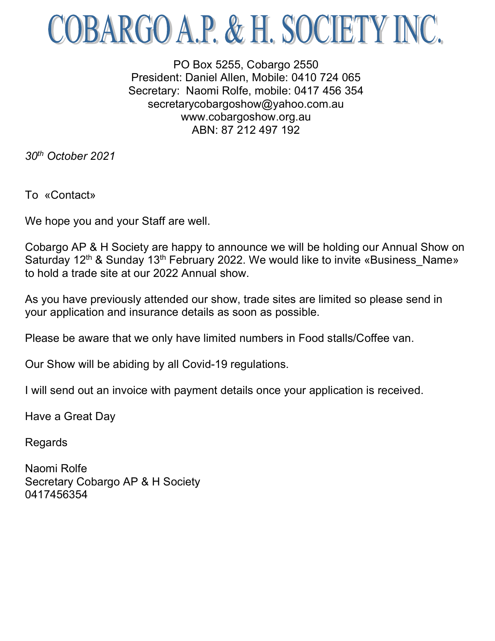# COBARGO A.P. & H. SOCIETY INC.

PO Box 5255, Cobargo 2550 President: Daniel Allen, Mobile: 0410 724 065 Secretary: Naomi Rolfe, mobile: 0417 456 354 [secretarycobargoshow@yahoo.com.au](mailto:secretarycobargoshow@yahoo.com.au) [www.cobargoshow.org.au](http://www.cobargoshow.org.au/) ABN: 87 212 497 192

*30th October 2021*

To «Contact»

We hope you and your Staff are well.

Cobargo AP & H Society are happy to announce we will be holding our Annual Show on Saturday 12<sup>th</sup> & Sunday 13<sup>th</sup> February 2022. We would like to invite «Business Name» to hold a trade site at our 2022 Annual show.

As you have previously attended our show, trade sites are limited so please send in your application and insurance details as soon as possible.

Please be aware that we only have limited numbers in Food stalls/Coffee van.

Our Show will be abiding by all Covid-19 regulations.

I will send out an invoice with payment details once your application is received.

Have a Great Day

Regards

Naomi Rolfe Secretary Cobargo AP & H Society 0417456354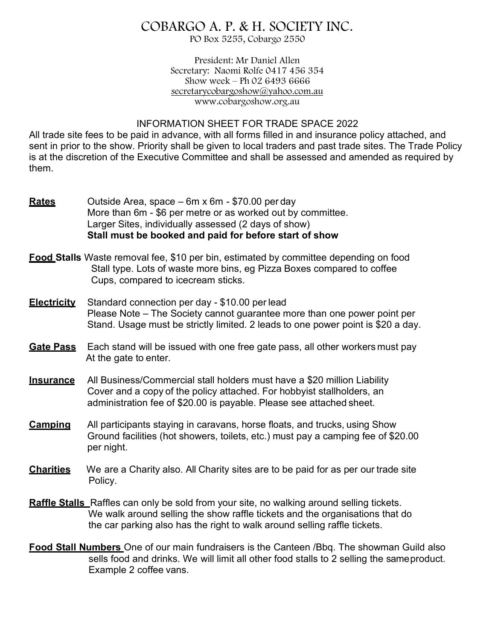# COBARGO A. P. & H. SOCIETY INC.

PO Box 5255, Cobargo 2550

President: Mr Daniel Allen Secretary: Naomi Rolfe 0417 456 354 Show week – Ph 02 6493 6666 [secretarycobargoshow@yahoo.com.au](mailto:secretarycobargoshow@yahoo.com.au) [www.cobargoshow.org.au](http://www.cobargoshow.org.au/)

#### INFORMATION SHEET FOR TRADE SPACE 2022

All trade site fees to be paid in advance, with all forms filled in and insurance policy attached, and sent in prior to the show. Priority shall be given to local traders and past trade sites. The Trade Policy is at the discretion of the Executive Committee and shall be assessed and amended as required by them.

- **Rates** Outside Area, space 6m x 6m \$70.00 per day More than 6m - \$6 per metre or as worked out by committee. Larger Sites, individually assessed (2 days of show) **Stall must be booked and paid for before start of show**
- **Food Stalls** Waste removal fee, \$10 per bin, estimated by committee depending on food Stall type. Lots of waste more bins, eg Pizza Boxes compared to coffee Cups, compared to icecream sticks.
- **Electricity** Standard connection per day \$10.00 per lead Please Note – The Society cannot guarantee more than one power point per Stand. Usage must be strictly limited. 2 leads to one power point is \$20 a day.
- **Gate Pass** Each stand will be issued with one free gate pass, all other workers must pay At the gate to enter.
- **Insurance** All Business/Commercial stall holders must have a \$20 million Liability Cover and a copy of the policy attached. For hobbyist stallholders, an administration fee of \$20.00 is payable. Please see attached sheet.
- **Camping** All participants staying in caravans, horse floats, and trucks, using Show Ground facilities (hot showers, toilets, etc.) must pay a camping fee of \$20.00 per night.
- **Charities** We are a Charity also. All Charity sites are to be paid for as per our trade site Policy.
- **Raffle Stalls** Raffles can only be sold from your site, no walking around selling tickets. We walk around selling the show raffle tickets and the organisations that do the car parking also has the right to walk around selling raffle tickets.
- **Food Stall Numbers** One of our main fundraisers is the Canteen /Bbq. The showman Guild also sells food and drinks. We will limit all other food stalls to 2 selling the sameproduct. Example 2 coffee vans.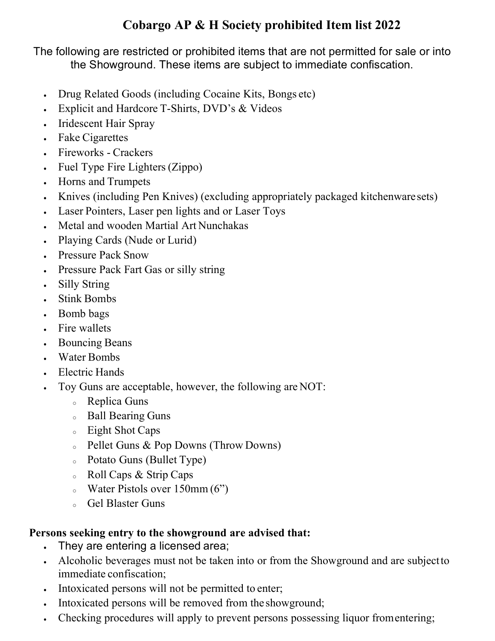# **Cobargo AP & H Society prohibited Item list 2022**

The following are restricted or prohibited items that are not permitted for sale or into the Showground. These items are subject to immediate confiscation.

- Drug Related Goods (including Cocaine Kits, Bongs etc)
- Explicit and Hardcore T-Shirts, DVD's & Videos
- Iridescent Hair Spray
- Fake Cigarettes
- Fireworks Crackers
- Fuel Type Fire Lighters (Zippo)
- Horns and Trumpets
- Knives (including Pen Knives) (excluding appropriately packaged kitchenwaresets)
- Laser Pointers, Laser pen lights and or Laser Toys
- Metal and wooden Martial Art Nunchakas
- Playing Cards (Nude or Lurid)
- Pressure Pack Snow
- Pressure Pack Fart Gas or silly string
- Silly String
- Stink Bombs
- Bomb bags
- Fire wallets
- Bouncing Beans
- Water Bombs
- Electric Hands
- Toy Guns are acceptable, however, the following are NOT:
	- <sup>o</sup> Replica Guns
	- <sup>o</sup> Ball Bearing Guns
	- <sup>o</sup> Eight Shot Caps
	- <sup>o</sup> Pellet Guns & Pop Downs (Throw Downs)
	- <sup>o</sup> Potato Guns (Bullet Type)
	- <sup>o</sup> Roll Caps & Strip Caps
	- <sup>o</sup> Water Pistols over 150mm (6")
	- <sup>o</sup> Gel Blaster Guns

## **Persons seeking entry to the showground are advised that:**

- They are entering a licensed area;
- Alcoholic beverages must not be taken into or from the Showground and are subjectto immediate confiscation;
- Intoxicated persons will not be permitted to enter;
- Intoxicated persons will be removed from the showground;
- Checking procedures will apply to prevent persons possessing liquor fromentering;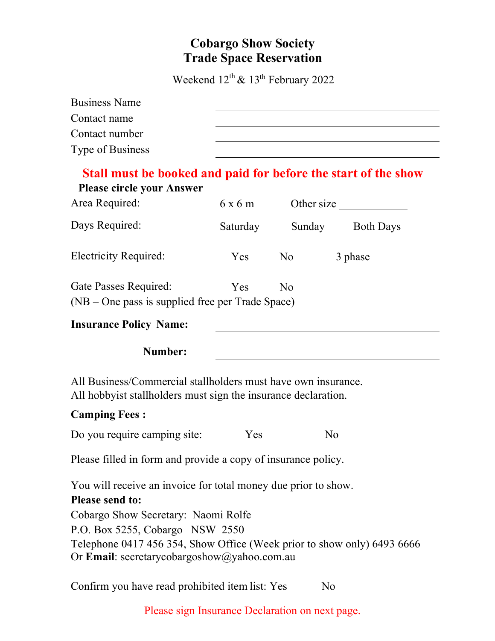# **Cobargo Show Society Trade Space Reservation**

Weekend  $12^{th}$  &  $13^{th}$  February 2022

| <b>Business Name</b> |  |
|----------------------|--|
| Contact name         |  |
| Contact number       |  |
| Type of Business     |  |

## **Stall must be booked and paid for before the start of the show**

| 6x6m       |                | Other size                                       |  |
|------------|----------------|--------------------------------------------------|--|
| Saturday   | Sunday         | <b>Both Days</b>                                 |  |
| Yes.       | N <sub>o</sub> | 3 phase                                          |  |
| <b>Yes</b> | N <sub>0</sub> |                                                  |  |
|            |                |                                                  |  |
|            |                |                                                  |  |
|            |                | (NB – One pass is supplied free per Trade Space) |  |

All hobbyist stallholders must sign the insurance declaration.

### **Camping Fees :**

Do you require camping site: Yes No

Please filled in form and provide a copy of insurance policy.

You will receive an invoice for total money due prior to show. **Please send to:** Cobargo Show Secretary: Naomi Rolfe P.O. Box 5255, Cobargo NSW 2550 Telephone 0417 456 354, Show Office (Week prior to show only) 6493 6666 Or **Email**: [secretarycobargoshow@yahoo.com.au](mailto:secretarycobargoshow@yahoo.com.au)

Confirm you have read prohibited item list: Yes No